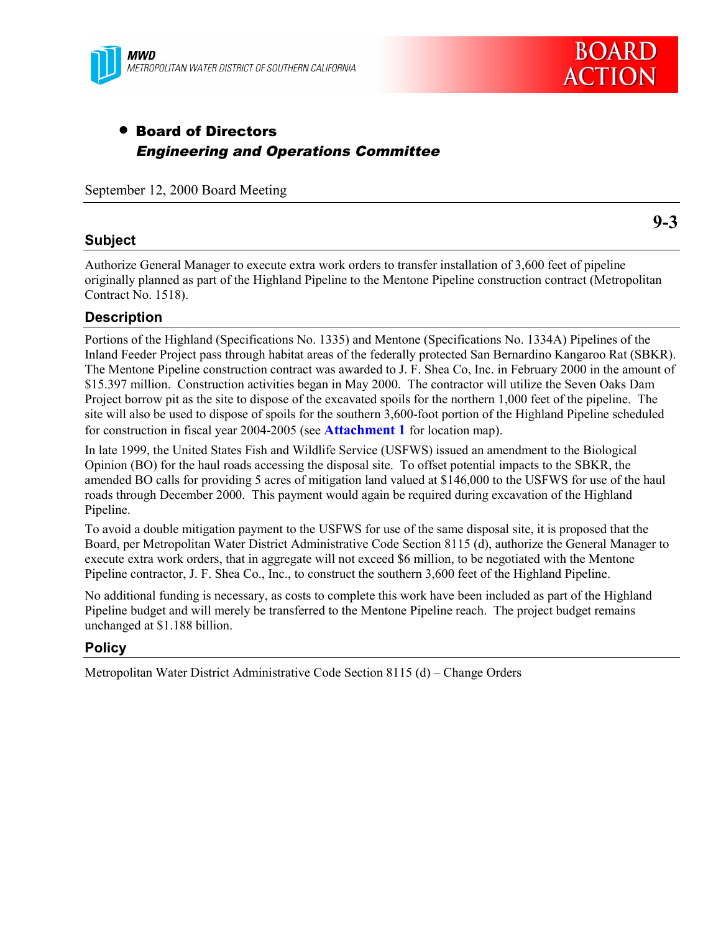

# • Board of Directors Engineering and Operations Committee

September 12, 2000 Board Meeting

## **Subject**

**9-3**

Authorize General Manager to execute extra work orders to transfer installation of 3,600 feet of pipeline originally planned as part of the Highland Pipeline to the Mentone Pipeline construction contract (Metropolitan Contract No. 1518).

# **Description**

Portions of the Highland (Specifications No. 1335) and Mentone (Specifications No. 1334A) Pipelines of the Inland Feeder Project pass through habitat areas of the federally protected San Bernardino Kangaroo Rat (SBKR). The Mentone Pipeline construction contract was awarded to J. F. Shea Co, Inc. in February 2000 in the amount of \$15.397 million. Construction activities began in May 2000. The contractor will utilize the Seven Oaks Dam Project borrow pit as the site to dispose of the excavated spoils for the northern 1,000 feet of the pipeline. The site will also be used to dispose of spoils for the southern 3,600-foot portion of the Highland Pipeline scheduled for construction in fiscal year 2004-2005 (see **Attachment 1** for location map).

In late 1999, the United States Fish and Wildlife Service (USFWS) issued an amendment to the Biological Opinion (BO) for the haul roads accessing the disposal site. To offset potential impacts to the SBKR, the amended BO calls for providing 5 acres of mitigation land valued at \$146,000 to the USFWS for use of the haul roads through December 2000. This payment would again be required during excavation of the Highland Pipeline.

To avoid a double mitigation payment to the USFWS for use of the same disposal site, it is proposed that the Board, per Metropolitan Water District Administrative Code Section 8115 (d), authorize the General Manager to execute extra work orders, that in aggregate will not exceed \$6 million, to be negotiated with the Mentone Pipeline contractor, J. F. Shea Co., Inc., to construct the southern 3,600 feet of the Highland Pipeline.

No additional funding is necessary, as costs to complete this work have been included as part of the Highland Pipeline budget and will merely be transferred to the Mentone Pipeline reach. The project budget remains unchanged at \$1.188 billion.

### **Policy**

Metropolitan Water District Administrative Code Section 8115 (d) – Change Orders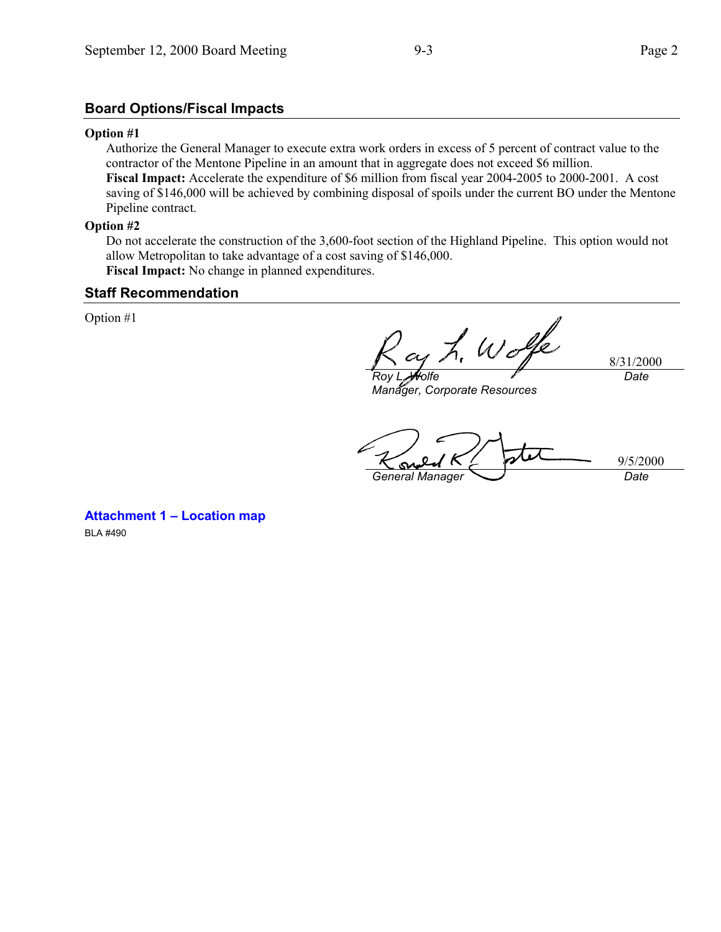# **Board Options/Fiscal Impacts**

#### **Option #1**

Authorize the General Manager to execute extra work orders in excess of 5 percent of contract value to the contractor of the Mentone Pipeline in an amount that in aggregate does not exceed \$6 million. **Fiscal Impact:** Accelerate the expenditure of \$6 million from fiscal year 2004-2005 to 2000-2001. A cost saving of \$146,000 will be achieved by combining disposal of spoils under the current BO under the Mentone Pipeline contract.

### **Option #2**

Do not accelerate the construction of the 3,600-foot section of the Highland Pipeline. This option would not allow Metropolitan to take advantage of a cost saving of \$146,000. **Fiscal Impact:** No change in planned expenditures.

### **Staff Recommendation**

Option #1

h. Wolfe 8/31/2000 *Roy L. Wolfe Date*

*Manager, Corporate Resources*

9/5/2000 *General Manager Date*

**Attachment 1 – Location map** BLA #490